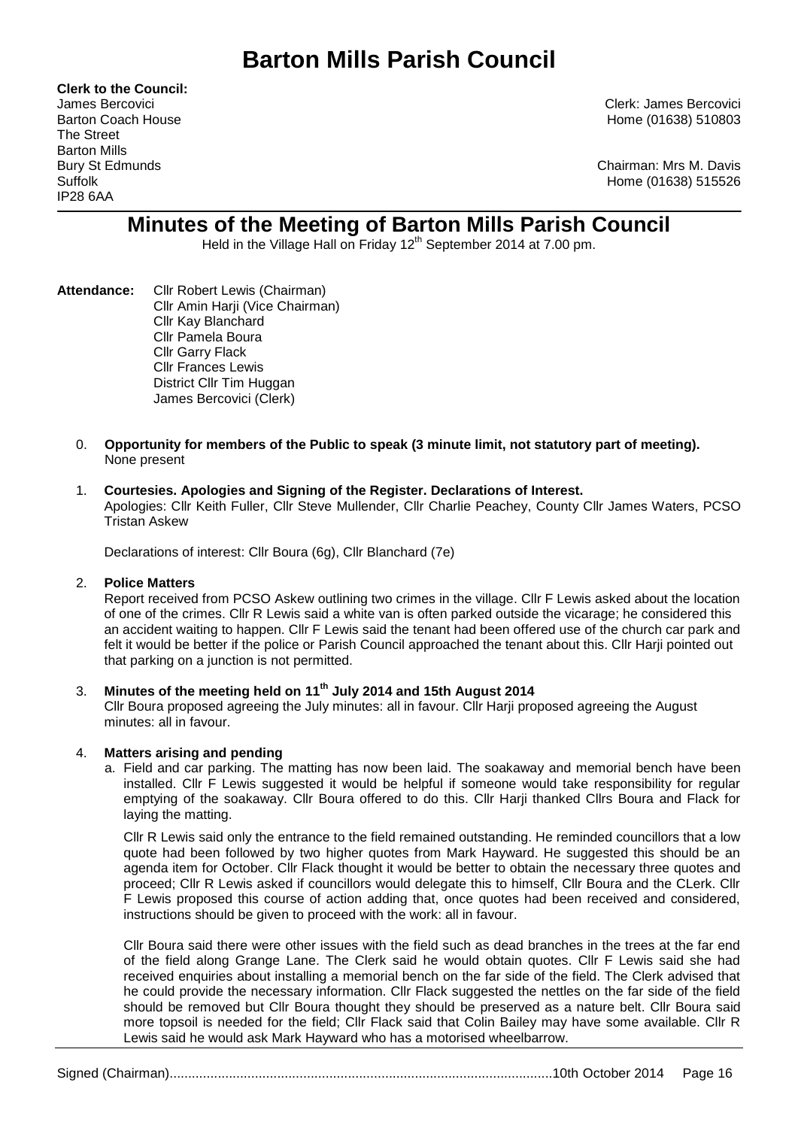# **Barton Mills Parish Council**

**Clerk to the Council:** The Street Barton Mills IP28 6AA

James Bercovici Clerk: James Bercovici Barton Coach House **Home (01638)** 510803

Bury St Edmunds Chairman: Mrs M. Davis Suffolk Home (01638) 515526

# **Minutes of the Meeting of Barton Mills Parish Council**

Held in the Village Hall on Friday 12<sup>th</sup> September 2014 at 7.00 pm.

- **Attendance:** Cllr Robert Lewis (Chairman) Cllr Amin Harji (Vice Chairman) Cllr Kay Blanchard Cllr Pamela Boura Cllr Garry Flack Cllr Frances Lewis District Cllr Tim Huggan James Bercovici (Clerk)
	- 0. **Opportunity for members of the Public to speak (3 minute limit, not statutory part of meeting).**  None present

## 1. **Courtesies. Apologies and Signing of the Register. Declarations of Interest.**

Apologies: Cllr Keith Fuller, Cllr Steve Mullender, Cllr Charlie Peachey, County Cllr James Waters, PCSO Tristan Askew

Declarations of interest: Cllr Boura (6g), Cllr Blanchard (7e)

#### 2. **Police Matters**

Report received from PCSO Askew outlining two crimes in the village. Cllr F Lewis asked about the location of one of the crimes. Cllr R Lewis said a white van is often parked outside the vicarage; he considered this an accident waiting to happen. Cllr F Lewis said the tenant had been offered use of the church car park and felt it would be better if the police or Parish Council approached the tenant about this. Cllr Harji pointed out that parking on a junction is not permitted.

# 3. **Minutes of the meeting held on 11 th July 2014 and 15th August 2014**

Cllr Boura proposed agreeing the July minutes: all in favour. Cllr Harji proposed agreeing the August minutes: all in favour.

#### 4. **Matters arising and pending**

a. Field and car parking. The matting has now been laid. The soakaway and memorial bench have been installed. Cllr F Lewis suggested it would be helpful if someone would take responsibility for regular emptying of the soakaway. Cllr Boura offered to do this. Cllr Harji thanked Cllrs Boura and Flack for laying the matting.

Cllr R Lewis said only the entrance to the field remained outstanding. He reminded councillors that a low quote had been followed by two higher quotes from Mark Hayward. He suggested this should be an agenda item for October. Cllr Flack thought it would be better to obtain the necessary three quotes and proceed; Cllr R Lewis asked if councillors would delegate this to himself, Cllr Boura and the CLerk. Cllr F Lewis proposed this course of action adding that, once quotes had been received and considered, instructions should be given to proceed with the work: all in favour.

Cllr Boura said there were other issues with the field such as dead branches in the trees at the far end of the field along Grange Lane. The Clerk said he would obtain quotes. Cllr F Lewis said she had received enquiries about installing a memorial bench on the far side of the field. The Clerk advised that he could provide the necessary information. Cllr Flack suggested the nettles on the far side of the field should be removed but Cllr Boura thought they should be preserved as a nature belt. Cllr Boura said more topsoil is needed for the field; Cllr Flack said that Colin Bailey may have some available. Cllr R Lewis said he would ask Mark Hayward who has a motorised wheelbarrow.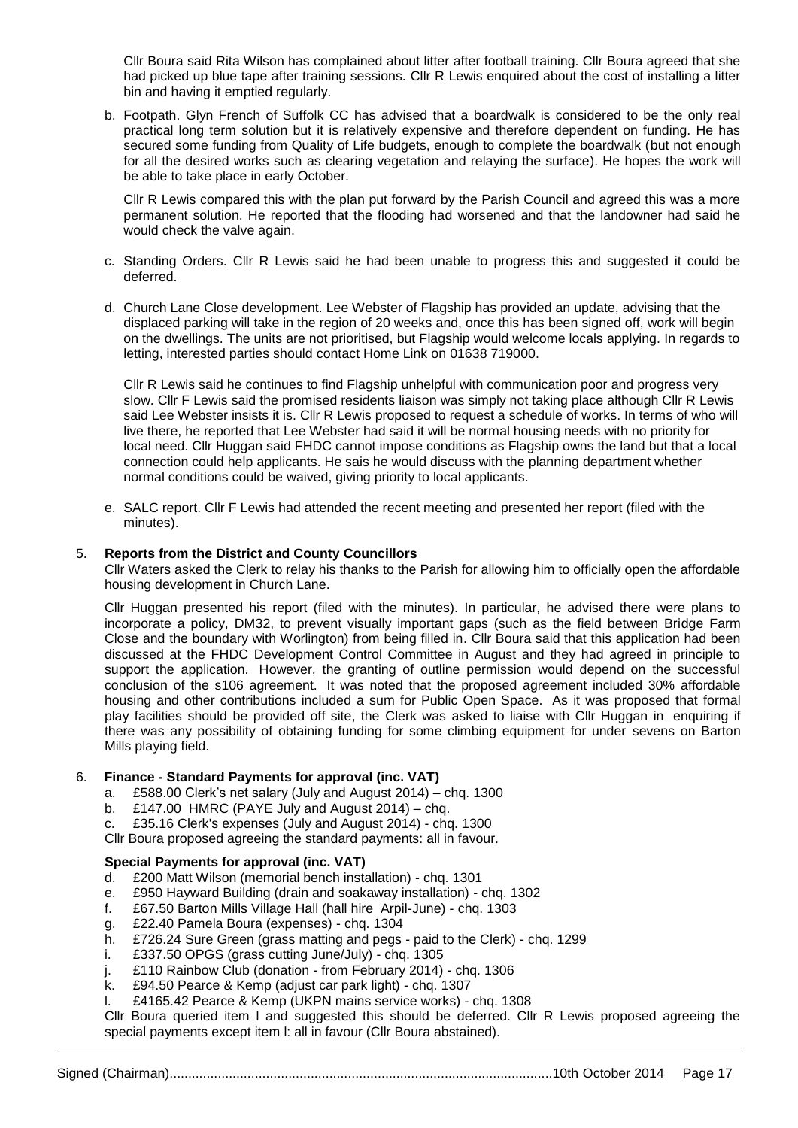Cllr Boura said Rita Wilson has complained about litter after football training. Cllr Boura agreed that she had picked up blue tape after training sessions. Cllr R Lewis enquired about the cost of installing a litter bin and having it emptied regularly.

b. Footpath. Glyn French of Suffolk CC has advised that a boardwalk is considered to be the only real practical long term solution but it is relatively expensive and therefore dependent on funding. He has secured some funding from Quality of Life budgets, enough to complete the boardwalk (but not enough for all the desired works such as clearing vegetation and relaying the surface). He hopes the work will be able to take place in early October.

Cllr R Lewis compared this with the plan put forward by the Parish Council and agreed this was a more permanent solution. He reported that the flooding had worsened and that the landowner had said he would check the valve again.

- c. Standing Orders. Cllr R Lewis said he had been unable to progress this and suggested it could be deferred.
- d. Church Lane Close development. Lee Webster of Flagship has provided an update, advising that the displaced parking will take in the region of 20 weeks and, once this has been signed off, work will begin on the dwellings. The units are not prioritised, but Flagship would welcome locals applying. In regards to letting, interested parties should contact Home Link on 01638 719000.

Cllr R Lewis said he continues to find Flagship unhelpful with communication poor and progress very slow. Cllr F Lewis said the promised residents liaison was simply not taking place although Cllr R Lewis said Lee Webster insists it is. Cllr R Lewis proposed to request a schedule of works. In terms of who will live there, he reported that Lee Webster had said it will be normal housing needs with no priority for local need. Cllr Huggan said FHDC cannot impose conditions as Flagship owns the land but that a local connection could help applicants. He sais he would discuss with the planning department whether normal conditions could be waived, giving priority to local applicants.

e. SALC report. Cllr F Lewis had attended the recent meeting and presented her report (filed with the minutes).

#### 5. **Reports from the District and County Councillors**

Cllr Waters asked the Clerk to relay his thanks to the Parish for allowing him to officially open the affordable housing development in Church Lane.

Cllr Huggan presented his report (filed with the minutes). In particular, he advised there were plans to incorporate a policy, DM32, to prevent visually important gaps (such as the field between Bridge Farm Close and the boundary with Worlington) from being filled in. Cllr Boura said that this application had been discussed at the FHDC Development Control Committee in August and they had agreed in principle to support the application. However, the granting of outline permission would depend on the successful conclusion of the s106 agreement. It was noted that the proposed agreement included 30% affordable housing and other contributions included a sum for Public Open Space. As it was proposed that formal play facilities should be provided off site, the Clerk was asked to liaise with Cllr Huggan in enquiring if there was any possibility of obtaining funding for some climbing equipment for under sevens on Barton Mills playing field.

#### 6. **Finance - Standard Payments for approval (inc. VAT)**

- a. £588.00 Clerk's net salary (July and August 2014) chq. 1300
- b.  $£147.00$  HMRC (PAYE July and August 2014) chg.
- c. £35.16 Clerk's expenses (July and August 2014) chq. 1300
- Cllr Boura proposed agreeing the standard payments: all in favour.

## **Special Payments for approval (inc. VAT)**

- d. £200 Matt Wilson (memorial bench installation) chq. 1301
- e. £950 Hayward Building (drain and soakaway installation) chq. 1302
- f. £67.50 Barton Mills Village Hall (hall hire Arpil-June) chq. 1303
- g. £22.40 Pamela Boura (expenses) chq. 1304
- h. £726.24 Sure Green (grass matting and pegs paid to the Clerk) chq. 1299
- i. £337.50 OPGS (grass cutting June/July) chq. 1305
- j. £110 Rainbow Club (donation from February 2014) chq. 1306
- k. £94.50 Pearce & Kemp (adjust car park light) chq. 1307
- l. £4165.42 Pearce & Kemp (UKPN mains service works) chq. 1308

Cllr Boura queried item l and suggested this should be deferred. Cllr R Lewis proposed agreeing the special payments except item l: all in favour (Cllr Boura abstained).